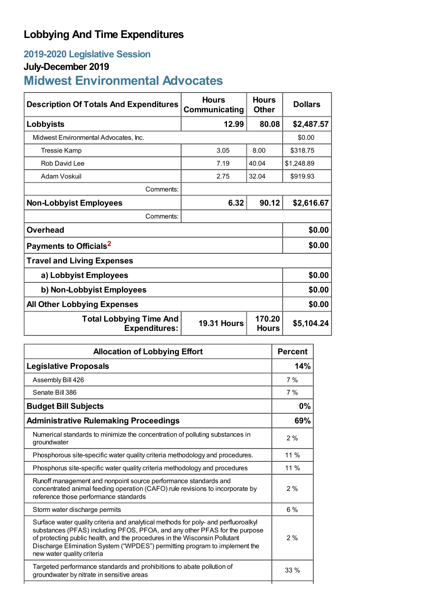## **Lobbying And Time Expenditures**

## **2019-2020 Legislative Session**

## **July-December 2019**

# **Midwest Environmental Advocates**

| <b>Description Of Totals And Expenditures</b>          | <b>Hours</b><br>Communicating | <b>Hours</b><br><b>Other</b> | <b>Dollars</b> |
|--------------------------------------------------------|-------------------------------|------------------------------|----------------|
| Lobbyists                                              | 12.99                         | 80.08                        | \$2,487.57     |
| Midwest Environmental Advocates, Inc.                  |                               |                              | \$0.00         |
| Tressie Kamp                                           | 3.05                          | 8.00                         | \$318.75       |
| Rob David Lee                                          | 7.19                          | 40.04                        | \$1,248.89     |
| Adam Voskuil                                           | 2.75                          | 32.04                        | \$919.93       |
| Comments:                                              |                               |                              |                |
| <b>Non-Lobbyist Employees</b>                          | 6.32                          | 90.12                        | \$2,616.67     |
| Comments:                                              |                               |                              |                |
| <b>Overhead</b>                                        |                               |                              | \$0.00         |
| Payments to Officials <sup>2</sup>                     |                               |                              | \$0.00         |
| <b>Travel and Living Expenses</b>                      |                               |                              |                |
| a) Lobbyist Employees                                  |                               |                              | \$0.00         |
| b) Non-Lobbyist Employees                              | \$0.00                        |                              |                |
| <b>All Other Lobbying Expenses</b>                     |                               |                              | \$0.00         |
| <b>Total Lobbying Time And</b><br><b>Expenditures:</b> | <b>19.31 Hours</b>            | 170.20<br><b>Hours</b>       | \$5,104.24     |

| <b>Allocation of Lobbying Effort</b>                                                                                                                                                                                                                                                                                                                       | <b>Percent</b> |
|------------------------------------------------------------------------------------------------------------------------------------------------------------------------------------------------------------------------------------------------------------------------------------------------------------------------------------------------------------|----------------|
| <b>Legislative Proposals</b>                                                                                                                                                                                                                                                                                                                               | 14%            |
| Assembly Bill 426                                                                                                                                                                                                                                                                                                                                          | 7%             |
| Senate Bill 386                                                                                                                                                                                                                                                                                                                                            | 7%             |
| <b>Budget Bill Subjects</b>                                                                                                                                                                                                                                                                                                                                |                |
| <b>Administrative Rulemaking Proceedings</b>                                                                                                                                                                                                                                                                                                               | 69%            |
| Numerical standards to minimize the concentration of polluting substances in<br>groundwater                                                                                                                                                                                                                                                                | 2%             |
| Phosphorous site-specific water quality criteria methodology and procedures.                                                                                                                                                                                                                                                                               | 11%            |
| Phosphorus site-specific water quality criteria methodology and procedures                                                                                                                                                                                                                                                                                 | 11%            |
| Runoff management and nonpoint source performance standards and<br>concentrated animal feeding operation (CAFO) rule revisions to incorporate by<br>reference those performance standards                                                                                                                                                                  | 2%             |
| Storm water discharge permits                                                                                                                                                                                                                                                                                                                              | $6\%$          |
| Surface water quality criteria and analytical methods for poly- and perfluoroalkyl<br>substances (PFAS) including PFOS, PFOA, and any other PFAS for the purpose<br>of protecting public health, and the procedures in the Wisconsin Pollutant<br>Discharge Elimination System ("WPDES") permitting program to implement the<br>new water quality criteria | 2%             |
| Targeted performance standards and prohibitions to abate pollution of<br>groundwater by nitrate in sensitive areas                                                                                                                                                                                                                                         | $33\%$         |